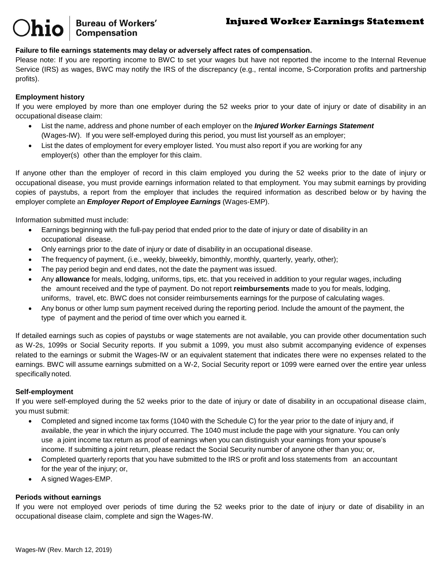# **Injured Worker Earnings Statement**

### **Failure to file earnings statements may delay or adversely affect rates of compensation.**

**Bureau of Workers' Compensation** 

Please note: If you are reporting income to BWC to set your wages but have not reported the income to the Internal Revenue Service (IRS) as wages, BWC may notify the IRS of the discrepancy (e.g., rental income, S-Corporation profits and partnership profits).

#### **Employment history**

If you were employed by more than one employer during the 52 weeks prior to your date of injury or date of disability in an occupational disease claim:

- List the name, address and phone number of each employer on the *Injured Worker Earnings Statement* (Wages-IW). If you were self-employed during this period, you must list yourself as an employer;
- List the dates of employment for every employer listed. You must also report if you are working for any employer(s) other than the employer for this claim.

If anyone other than the employer of record in this claim employed you during the 52 weeks prior to the date of injury or occupational disease, you must provide earnings information related to that employment. You may submit earnings by providing copies of paystubs, a report from the employer that includes the required information as described below or by having the employer complete an *Employer Report of Employee Earnings* (Wages-EMP).

Information submitted must include:

- Earnings beginning with the full-pay period that ended prior to the date of injury or date of disability in an occupational disease.
- Only earnings prior to the date of injury or date of disability in an occupational disease.
- The frequency of payment, (i.e., weekly, biweekly, bimonthly, monthly, quarterly, yearly, other);
- The pay period begin and end dates, not the date the payment was issued.
- Any **allowance** for meals, lodging, uniforms, tips, etc. that you received in addition to your regular wages, including the amount received and the type of payment. Do not report **reimbursements** made to you for meals, lodging, uniforms, travel, etc. BWC does not consider reimbursements earnings for the purpose of calculating wages.
- Any bonus or other lump sum payment received during the reporting period. Include the amount of the payment, the type of payment and the period of time over which you earned it.

If detailed earnings such as copies of paystubs or wage statements are not available, you can provide other documentation such as W-2s, 1099s or Social Security reports. If you submit a 1099, you must also submit accompanying evidence of expenses related to the earnings or submit the Wages-IW or an equivalent statement that indicates there were no expenses related to the earnings. BWC will assume earnings submitted on a W-2, Social Security report or 1099 were earned over the entire year unless specifically noted.

#### **Self-employment**

If you were self-employed during the 52 weeks prior to the date of injury or date of disability in an occupational disease claim, you must submit:

- Completed and signed income tax forms (1040 with the Schedule C) for the year prior to the date of injury and, if available, the year in which the injury occurred. The 1040 must include the page with your signature. You can only use a joint income tax return as proof of earnings when you can distinguish your earnings from your spouse's income. If submitting a joint return, please redact the Social Security number of anyone other than you; or,
- Completed quarterly reports that you have submitted to the IRS or profit and loss statements from an accountant for the year of the injury; or,
- A signed Wages-EMP.

#### **Periods without earnings**

If you were not employed over periods of time during the 52 weeks prior to the date of injury or date of disability in an occupational disease claim, complete and sign the Wages-IW.